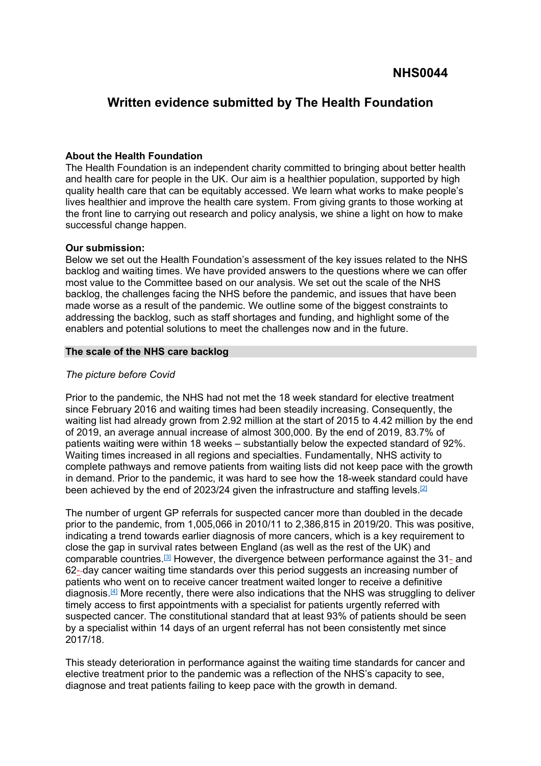# **Written evidence submitted by The Health Foundation**

# **About the Health Foundation**

The Health Foundation is an independent charity committed to bringing about better health and health care for people in the UK. Our aim is a healthier population, supported by high quality health care that can be equitably accessed. We learn what works to make people's lives healthier and improve the health care system. From giving grants to those working at the front line to carrying out research and policy analysis, we shine a light on how to make successful change happen.

# **Our submission:**

Below we set out the Health Foundation's assessment of the key issues related to the NHS backlog and waiting times. We have provided answers to the questions where we can offer most value to the Committee based on our analysis. We set out the scale of the NHS backlog, the challenges facing the NHS before the pandemic, and issues that have been made worse as a result of the pandemic. We outline some of the biggest constraints to addressing the backlog, such as staff shortages and funding, and highlight some of the enablers and potential solutions to meet the challenges now and in the future.

# **The scale of the NHS care backlog**

# *The picture before Covid*

Prior to the pandemic, the NHS had not met the 18 week standard for elective treatment since February 2016 and waiting times had been steadily increasing. Consequently, the waiting list had already grown from 2.92 million at the start of 2015 to 4.42 million by the end of 2019, an average annual increase of almost 300,000. By the end of 2019, 83.7% of patients waiting were within 18 weeks – substantially below the expected standard of 92%. Waiting times increased in all regions and specialties. Fundamentally, NHS activity to complete pathways and remove patients from waiting lists did not keep pace with the growth in demand. Prior to the pandemic, it was hard to see how the 18-week standard could have been achieved by the end of 2023/24 given the infrastructure and staffing levels.<sup>[\[2\]](https://ukc-word-edit.officeapps.live.com/we/wordeditorframe.aspx?new=1&ui=en-GB&rs=en-US&wopisrc=https%3A%2F%2Fthehealthfoundation98-my.sharepoint.com%2Fpersonal%2Fsam_mandi-ghomi_health_org_uk%2F_vti_bin%2Fwopi.ashx%2Ffiles%2Fa984bf24854c457bbd82150b4fae31ca&wdprevioussession=3b2e1324-ef1c-5b0f-c0ac-2fa9b4a2076d&wdnewandopenct=1639048230244&wdo=4&wdorigin=wacFileNew&wdtpl=blank&wdlcid=1033&wdpreviouscorrelation=c8371633-2a09-4970-bc97-293bb57c53f7&wdenableroaming=1&mscc=1&wdodb=1&hid=01110BA0-C0CB-C000-9E90-46E1152CC461&jsapi=1&jsapiver=v1&newsession=1&corrid=387bb545-35b2-4d15-b918-646e9379213d&usid=387bb545-35b2-4d15-b918-646e9379213d&sftc=1&mtf=1&sfp=1&wdredirectionreason=Unified_SingleFlush&rct=Medium&ctp=LeastProtected#_ftn2)</sup>

The number of urgent GP referrals for suspected cancer more than doubled in the decade prior to the pandemic, from 1,005,066 in 2010/11 to 2,386,815 in 2019/20. This was positive, indicating a trend towards earlier diagnosis of more cancers, which is a key requirement to close the gap in survival rates between England (as well as the rest of the UK) and comparable countries.<sup>[\[3\]](https://ukc-word-edit.officeapps.live.com/we/wordeditorframe.aspx?new=1&ui=en-GB&rs=en-US&wopisrc=https%3A%2F%2Fthehealthfoundation98-my.sharepoint.com%2Fpersonal%2Fsam_mandi-ghomi_health_org_uk%2F_vti_bin%2Fwopi.ashx%2Ffiles%2Fa984bf24854c457bbd82150b4fae31ca&wdprevioussession=3b2e1324-ef1c-5b0f-c0ac-2fa9b4a2076d&wdnewandopenct=1639048230244&wdo=4&wdorigin=wacFileNew&wdtpl=blank&wdlcid=1033&wdpreviouscorrelation=c8371633-2a09-4970-bc97-293bb57c53f7&wdenableroaming=1&mscc=1&wdodb=1&hid=01110BA0-C0CB-C000-9E90-46E1152CC461&jsapi=1&jsapiver=v1&newsession=1&corrid=387bb545-35b2-4d15-b918-646e9379213d&usid=387bb545-35b2-4d15-b918-646e9379213d&sftc=1&mtf=1&sfp=1&wdredirectionreason=Unified_SingleFlush&rct=Medium&ctp=LeastProtected#_ftn3)</sup> However, the divergence between performance against the 31- and 62- day cancer waiting time standards over this period suggests an increasing number of patients who went on to receive cancer treatment waited longer to receive a definitive diagnosis.<sup>[\[4\]](https://ukc-word-edit.officeapps.live.com/we/wordeditorframe.aspx?new=1&ui=en-GB&rs=en-US&wopisrc=https%3A%2F%2Fthehealthfoundation98-my.sharepoint.com%2Fpersonal%2Fsam_mandi-ghomi_health_org_uk%2F_vti_bin%2Fwopi.ashx%2Ffiles%2Fa984bf24854c457bbd82150b4fae31ca&wdprevioussession=3b2e1324-ef1c-5b0f-c0ac-2fa9b4a2076d&wdnewandopenct=1639048230244&wdo=4&wdorigin=wacFileNew&wdtpl=blank&wdlcid=1033&wdpreviouscorrelation=c8371633-2a09-4970-bc97-293bb57c53f7&wdenableroaming=1&mscc=1&wdodb=1&hid=01110BA0-C0CB-C000-9E90-46E1152CC461&jsapi=1&jsapiver=v1&newsession=1&corrid=387bb545-35b2-4d15-b918-646e9379213d&usid=387bb545-35b2-4d15-b918-646e9379213d&sftc=1&mtf=1&sfp=1&wdredirectionreason=Unified_SingleFlush&rct=Medium&ctp=LeastProtected#_ftn4)</sup> More recently, there were also indications that the NHS was struggling to deliver timely access to first appointments with a specialist for patients urgently referred with suspected cancer. The constitutional standard that at least 93% of patients should be seen by a specialist within 14 days of an urgent referral has not been consistently met since 2017/18.

This steady deterioration in performance against the waiting time standards for cancer and elective treatment prior to the pandemic was a reflection of the NHS's capacity to see, diagnose and treat patients failing to keep pace with the growth in demand.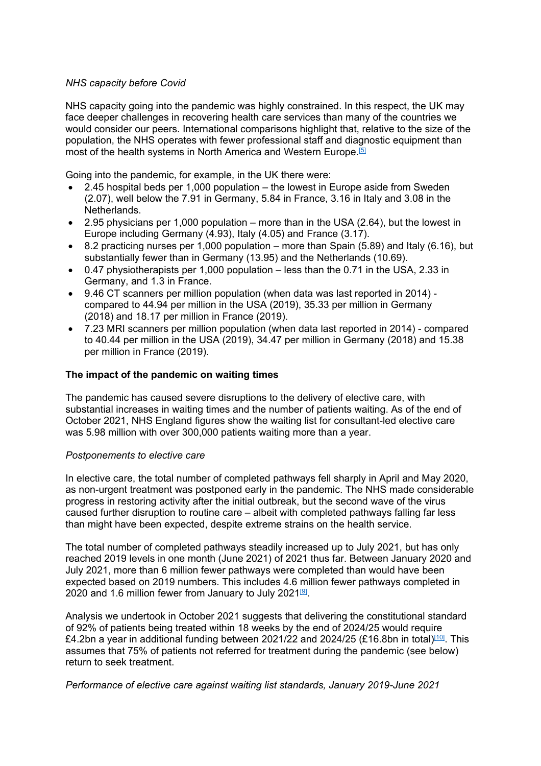# *NHS capacity before Covid*

NHS capacity going into the pandemic was highly constrained. In this respect, the UK may face deeper challenges in recovering health care services than many of the countries we would consider our peers. International comparisons highlight that, relative to the size of the population, the NHS operates with fewer professional staff and diagnostic equipment than most of the health systems in North America and Western Europe.[\[5\]](https://ukc-word-edit.officeapps.live.com/we/wordeditorframe.aspx?new=1&ui=en-GB&rs=en-US&wopisrc=https%3A%2F%2Fthehealthfoundation98-my.sharepoint.com%2Fpersonal%2Fsam_mandi-ghomi_health_org_uk%2F_vti_bin%2Fwopi.ashx%2Ffiles%2Fa984bf24854c457bbd82150b4fae31ca&wdprevioussession=3b2e1324-ef1c-5b0f-c0ac-2fa9b4a2076d&wdnewandopenct=1639048230244&wdo=4&wdorigin=wacFileNew&wdtpl=blank&wdlcid=1033&wdpreviouscorrelation=c8371633-2a09-4970-bc97-293bb57c53f7&wdenableroaming=1&mscc=1&wdodb=1&hid=01110BA0-C0CB-C000-9E90-46E1152CC461&jsapi=1&jsapiver=v1&newsession=1&corrid=387bb545-35b2-4d15-b918-646e9379213d&usid=387bb545-35b2-4d15-b918-646e9379213d&sftc=1&mtf=1&sfp=1&wdredirectionreason=Unified_SingleFlush&rct=Medium&ctp=LeastProtected#_ftn5)

Going into the pandemic, for example, in the UK there were:

- 2.45 hospital beds per 1,000 population the lowest in Europe aside from Sweden (2.07), well below the 7.91 in Germany, 5.84 in France, 3.16 in Italy and 3.08 in the Netherlands.
- 2.95 physicians per 1,000 population more than in the USA (2.64), but the lowest in Europe including Germany (4.93), Italy (4.05) and France (3.17).
- $\bullet$  8.2 practicing nurses per 1,000 population more than Spain (5.89) and Italy (6.16), but substantially fewer than in Germany (13.95) and the Netherlands (10.69).
- 0.47 physiotherapists per 1,000 population less than the 0.71 in the USA, 2.33 in Germany, and 1.3 in France.
- 9.46 CT scanners per million population (when data was last reported in 2014) compared to 44.94 per million in the USA (2019), 35.33 per million in Germany (2018) and 18.17 per million in France (2019).
- 7.23 MRI scanners per million population (when data last reported in 2014) compared to 40.44 per million in the USA (2019), 34.47 per million in Germany (2018) and 15.38 per million in France (2019).

# **The impact of the pandemic on waiting times**

The pandemic has caused severe disruptions to the delivery of elective care, with substantial increases in waiting times and the number of patients waiting. As of the end of October 2021, NHS England figures show the waiting list for consultant-led elective care was 5.98 million with over 300,000 patients waiting more than a year.

#### *Postponements to elective care*

In elective care, the total number of completed pathways fell sharply in April and May 2020, as non-urgent treatment was postponed early in the pandemic. The NHS made considerable progress in restoring activity after the initial outbreak, but the second wave of the virus caused further disruption to routine care – albeit with completed pathways falling far less than might have been expected, despite extreme strains on the health service.

The total number of completed pathways steadily increased up to July 2021, but has only reached 2019 levels in one month (June 2021) of 2021 thus far. Between January 2020 and July 2021, more than 6 million fewer pathways were completed than would have been expected based on 2019 numbers. This includes 4.6 million fewer pathways completed in 2020 and 1.6 million fewer from January to July 2021<sup>[\[9\]](https://ukc-word-edit.officeapps.live.com/we/wordeditorframe.aspx?new=1&ui=en-GB&rs=en-US&wopisrc=https%3A%2F%2Fthehealthfoundation98-my.sharepoint.com%2Fpersonal%2Fsam_mandi-ghomi_health_org_uk%2F_vti_bin%2Fwopi.ashx%2Ffiles%2Fa984bf24854c457bbd82150b4fae31ca&wdprevioussession=3b2e1324-ef1c-5b0f-c0ac-2fa9b4a2076d&wdnewandopenct=1639048230244&wdo=4&wdorigin=wacFileNew&wdtpl=blank&wdlcid=1033&wdpreviouscorrelation=c8371633-2a09-4970-bc97-293bb57c53f7&wdenableroaming=1&mscc=1&wdodb=1&hid=01110BA0-C0CB-C000-9E90-46E1152CC461&jsapi=1&jsapiver=v1&newsession=1&corrid=387bb545-35b2-4d15-b918-646e9379213d&usid=387bb545-35b2-4d15-b918-646e9379213d&sftc=1&mtf=1&sfp=1&wdredirectionreason=Unified_SingleFlush&rct=Medium&ctp=LeastProtected#_ftn9)</sup>.

Analysis we undertook in October 2021 suggests that delivering the constitutional standard of 92% of patients being treated within 18 weeks by the end of 2024/25 would require £4.2bn a year in additional funding between 2021/22 and 2024/25 (£16.8bn in total)<sup>[\[10\]](https://ukc-word-edit.officeapps.live.com/we/wordeditorframe.aspx?new=1&ui=en-GB&rs=en-US&wopisrc=https%3A%2F%2Fthehealthfoundation98-my.sharepoint.com%2Fpersonal%2Fsam_mandi-ghomi_health_org_uk%2F_vti_bin%2Fwopi.ashx%2Ffiles%2Fa984bf24854c457bbd82150b4fae31ca&wdprevioussession=3b2e1324-ef1c-5b0f-c0ac-2fa9b4a2076d&wdnewandopenct=1639048230244&wdo=4&wdorigin=wacFileNew&wdtpl=blank&wdlcid=1033&wdpreviouscorrelation=c8371633-2a09-4970-bc97-293bb57c53f7&wdenableroaming=1&mscc=1&wdodb=1&hid=01110BA0-C0CB-C000-9E90-46E1152CC461&jsapi=1&jsapiver=v1&newsession=1&corrid=387bb545-35b2-4d15-b918-646e9379213d&usid=387bb545-35b2-4d15-b918-646e9379213d&sftc=1&mtf=1&sfp=1&wdredirectionreason=Unified_SingleFlush&rct=Medium&ctp=LeastProtected#_ftn10)</sup>. This assumes that 75% of patients not referred for treatment during the pandemic (see below) return to seek treatment.

*Performance of elective care against waiting list standards, January 2019-June 2021*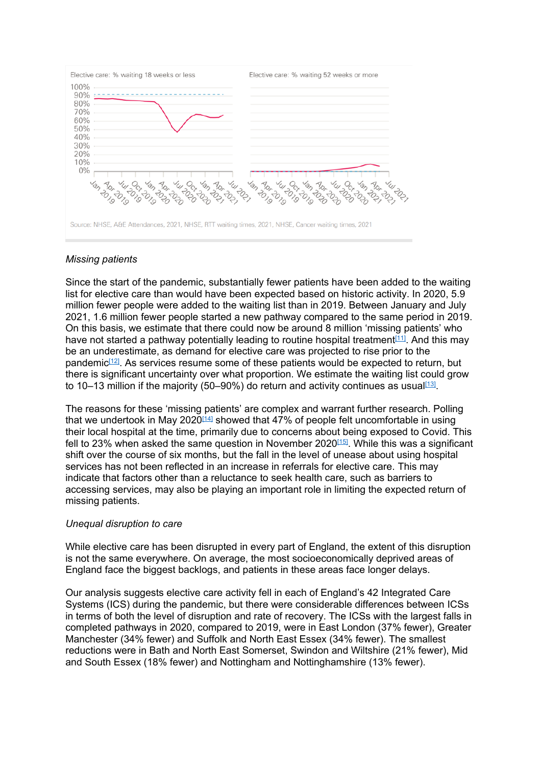

Source: NHSE, A&E Attendances, 2021, NHSE, RTT waiting times, 2021, NHSE, Cancer waiting times, 2021

# *Missing patients*

Since the start of the pandemic, substantially fewer patients have been added to the waiting list for elective care than would have been expected based on historic activity. In 2020, 5.9 million fewer people were added to the waiting list than in 2019. Between January and July 2021, 1.6 million fewer people started a new pathway compared to the same period in 2019. On this basis, we estimate that there could now be around 8 million 'missing patients' who have not started a pathway potentially leading to routine hospital treatment<sup>[\[11\]](https://ukc-word-edit.officeapps.live.com/we/wordeditorframe.aspx?new=1&ui=en-GB&rs=en-US&wopisrc=https%3A%2F%2Fthehealthfoundation98-my.sharepoint.com%2Fpersonal%2Fsam_mandi-ghomi_health_org_uk%2F_vti_bin%2Fwopi.ashx%2Ffiles%2Fa984bf24854c457bbd82150b4fae31ca&wdprevioussession=3b2e1324-ef1c-5b0f-c0ac-2fa9b4a2076d&wdnewandopenct=1639048230244&wdo=4&wdorigin=wacFileNew&wdtpl=blank&wdlcid=1033&wdpreviouscorrelation=c8371633-2a09-4970-bc97-293bb57c53f7&wdenableroaming=1&mscc=1&wdodb=1&hid=01110BA0-C0CB-C000-9E90-46E1152CC461&jsapi=1&jsapiver=v1&newsession=1&corrid=387bb545-35b2-4d15-b918-646e9379213d&usid=387bb545-35b2-4d15-b918-646e9379213d&sftc=1&mtf=1&sfp=1&wdredirectionreason=Unified_SingleFlush&rct=Medium&ctp=LeastProtected#_ftn11)</sup>. And this may be an underestimate, as demand for elective care was [projected](https://www.health.org.uk/publications/reports/health-and-social-care-funding-to-2024-25) [to](https://www.health.org.uk/publications/reports/health-and-social-care-funding-to-2024-25) [rise](https://www.health.org.uk/publications/reports/health-and-social-care-funding-to-2024-25) prior to the pandemic<sup>[\[12\]](https://ukc-word-edit.officeapps.live.com/we/wordeditorframe.aspx?new=1&ui=en-GB&rs=en-US&wopisrc=https%3A%2F%2Fthehealthfoundation98-my.sharepoint.com%2Fpersonal%2Fsam_mandi-ghomi_health_org_uk%2F_vti_bin%2Fwopi.ashx%2Ffiles%2Fa984bf24854c457bbd82150b4fae31ca&wdprevioussession=3b2e1324-ef1c-5b0f-c0ac-2fa9b4a2076d&wdnewandopenct=1639048230244&wdo=4&wdorigin=wacFileNew&wdtpl=blank&wdlcid=1033&wdpreviouscorrelation=c8371633-2a09-4970-bc97-293bb57c53f7&wdenableroaming=1&mscc=1&wdodb=1&hid=01110BA0-C0CB-C000-9E90-46E1152CC461&jsapi=1&jsapiver=v1&newsession=1&corrid=387bb545-35b2-4d15-b918-646e9379213d&usid=387bb545-35b2-4d15-b918-646e9379213d&sftc=1&mtf=1&sfp=1&wdredirectionreason=Unified_SingleFlush&rct=Medium&ctp=LeastProtected#_ftn12)</sup>. As services resume some of these patients would be expected to return, but there is significant uncertainty over what proportion. We estimate the waiting list could grow to 10–13 million if the majority (50–90%) do return and activity continues as usual<sup>[\[13\]](https://ukc-word-edit.officeapps.live.com/we/wordeditorframe.aspx?new=1&ui=en-GB&rs=en-US&wopisrc=https%3A%2F%2Fthehealthfoundation98-my.sharepoint.com%2Fpersonal%2Fsam_mandi-ghomi_health_org_uk%2F_vti_bin%2Fwopi.ashx%2Ffiles%2Fa984bf24854c457bbd82150b4fae31ca&wdprevioussession=3b2e1324-ef1c-5b0f-c0ac-2fa9b4a2076d&wdnewandopenct=1639048230244&wdo=4&wdorigin=wacFileNew&wdtpl=blank&wdlcid=1033&wdpreviouscorrelation=c8371633-2a09-4970-bc97-293bb57c53f7&wdenableroaming=1&mscc=1&wdodb=1&hid=01110BA0-C0CB-C000-9E90-46E1152CC461&jsapi=1&jsapiver=v1&newsession=1&corrid=387bb545-35b2-4d15-b918-646e9379213d&usid=387bb545-35b2-4d15-b918-646e9379213d&sftc=1&mtf=1&sfp=1&wdredirectionreason=Unified_SingleFlush&rct=Medium&ctp=LeastProtected#_ftn13)</sup>.

The reasons for these 'missing patients' are complex and warrant further research. Polling that we undertook in May 2020<sup>[\[14\]](https://ukc-word-edit.officeapps.live.com/we/wordeditorframe.aspx?new=1&ui=en-GB&rs=en-US&wopisrc=https%3A%2F%2Fthehealthfoundation98-my.sharepoint.com%2Fpersonal%2Fsam_mandi-ghomi_health_org_uk%2F_vti_bin%2Fwopi.ashx%2Ffiles%2Fa984bf24854c457bbd82150b4fae31ca&wdprevioussession=3b2e1324-ef1c-5b0f-c0ac-2fa9b4a2076d&wdnewandopenct=1639048230244&wdo=4&wdorigin=wacFileNew&wdtpl=blank&wdlcid=1033&wdpreviouscorrelation=c8371633-2a09-4970-bc97-293bb57c53f7&wdenableroaming=1&mscc=1&wdodb=1&hid=01110BA0-C0CB-C000-9E90-46E1152CC461&jsapi=1&jsapiver=v1&newsession=1&corrid=387bb545-35b2-4d15-b918-646e9379213d&usid=387bb545-35b2-4d15-b918-646e9379213d&sftc=1&mtf=1&sfp=1&wdredirectionreason=Unified_SingleFlush&rct=Medium&ctp=LeastProtected#_ftn14)</sup> showed that 47% of people felt uncomfortable in using their local hospital at the time, primarily due to concerns about being exposed to Covid. This fell to 23% when asked the same question in November 2020[\[15\]](https://ukc-word-edit.officeapps.live.com/we/wordeditorframe.aspx?new=1&ui=en-GB&rs=en-US&wopisrc=https%3A%2F%2Fthehealthfoundation98-my.sharepoint.com%2Fpersonal%2Fsam_mandi-ghomi_health_org_uk%2F_vti_bin%2Fwopi.ashx%2Ffiles%2Fa984bf24854c457bbd82150b4fae31ca&wdprevioussession=3b2e1324-ef1c-5b0f-c0ac-2fa9b4a2076d&wdnewandopenct=1639048230244&wdo=4&wdorigin=wacFileNew&wdtpl=blank&wdlcid=1033&wdpreviouscorrelation=c8371633-2a09-4970-bc97-293bb57c53f7&wdenableroaming=1&mscc=1&wdodb=1&hid=01110BA0-C0CB-C000-9E90-46E1152CC461&jsapi=1&jsapiver=v1&newsession=1&corrid=387bb545-35b2-4d15-b918-646e9379213d&usid=387bb545-35b2-4d15-b918-646e9379213d&sftc=1&mtf=1&sfp=1&wdredirectionreason=Unified_SingleFlush&rct=Medium&ctp=LeastProtected#_ftn15). While this was a significant shift over the course of six months, but the fall in the level of unease about using hospital services has not been reflected in an increase in referrals for elective care. This may indicate that factors other than a reluctance to seek health care, such as barriers to accessing services, may also be playing an important role in limiting the expected return of missing patients.

# *Unequal disruption to care*

While elective care has been disrupted in every part of England, the extent of this disruption is not the same everywhere. On average, the most socioeconomically deprived areas of England face the biggest backlogs, and patients in these areas face longer delays.

Our analysis suggests elective care activity fell in each of England's 42 Integrated Care Systems (ICS) during the pandemic, but there were considerable differences between ICSs in terms of both the level of disruption and rate of recovery. The ICSs with the largest falls in completed pathways in 2020, compared to 2019, were in East London (37% fewer), Greater Manchester (34% fewer) and Suffolk and North East Essex (34% fewer). The smallest reductions were in Bath and North East Somerset, Swindon and Wiltshire (21% fewer), Mid and South Essex (18% fewer) and Nottingham and Nottinghamshire (13% fewer).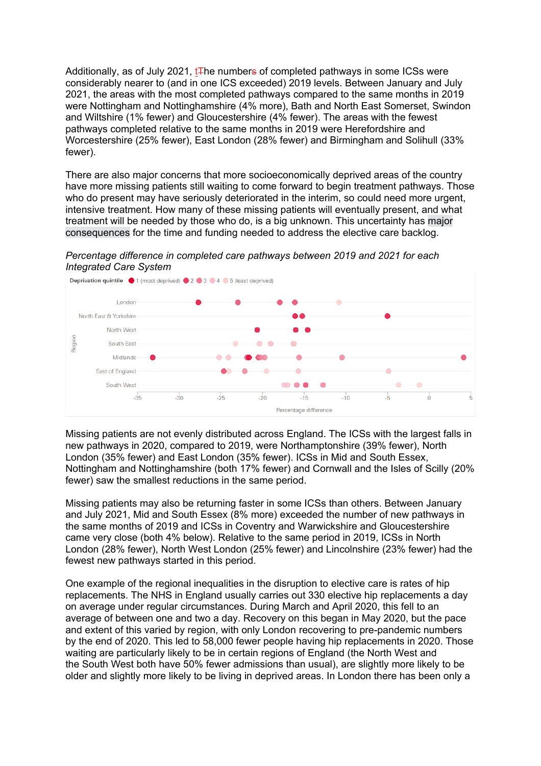Additionally, as of July 2021,  $tF$ he numbers of completed pathways in some ICSs were considerably nearer to (and in one ICS exceeded) 2019 levels. Between January and July 2021, the areas with the most completed pathways compared to the same months in 2019 were Nottingham and Nottinghamshire (4% more), Bath and North East Somerset, Swindon and Wiltshire (1% fewer) and Gloucestershire (4% fewer). The areas with the fewest pathways completed relative to the same months in 2019 were Herefordshire and Worcestershire (25% fewer), East London (28% fewer) and Birmingham and Solihull (33% fewer).

There are also major concerns that more socioeconomically deprived areas of the country have more missing patients still waiting to come forward to begin treatment pathways. Those who do present may have seriously deteriorated in the interim, so could need more urgent, intensive treatment. How many of these missing patients will eventually present, and what treatment will be needed by those who do, is a big unknown. This uncertainty has [major](https://www.health.org.uk/publications/reports/health-and-social-care-funding-to-2024-25) [consequences](https://www.health.org.uk/publications/reports/health-and-social-care-funding-to-2024-25) for the time and funding needed to address the elective care backlog.

*Percentage difference in completed care pathways between 2019 and 2021 for each Integrated Care System*



Missing patients are not evenly distributed across England. The ICSs with the largest falls in new pathways in 2020, compared to 2019, were Northamptonshire (39% fewer), North London (35% fewer) and East London (35% fewer). ICSs in Mid and South Essex, Nottingham and Nottinghamshire (both 17% fewer) and Cornwall and the Isles of Scilly (20% fewer) saw the smallest reductions in the same period.

Missing patients may also be returning faster in some ICSs than others. Between January and July 2021, Mid and South Essex (8% more) exceeded the number of new pathways in the same months of 2019 and ICSs in Coventry and Warwickshire and Gloucestershire came very close (both 4% below). Relative to the same period in 2019, ICSs in North London (28% fewer), North West London (25% fewer) and Lincolnshire (23% fewer) had the fewest new pathways started in this period.

One example of the regional inequalities in the disruption to elective care is rates of hip replacements. The NHS in England usually carries out 330 elective hip replacements a day on average under regular circumstances. During March and April 2020, this fell to an average of between one and two a day. Recovery on this began in May 2020, but the pace and extent of this varied by region, with only London recovering to pre-pandemic numbers by the end of 2020. This led to 58,000 fewer people having hip replacements in 2020. Those waiting are particularly likely to be in certain regions of England (the North West and the South West both have 50% fewer admissions than usual), are slightly more likely to be older and slightly more likely to be living in deprived areas. In London there has been only a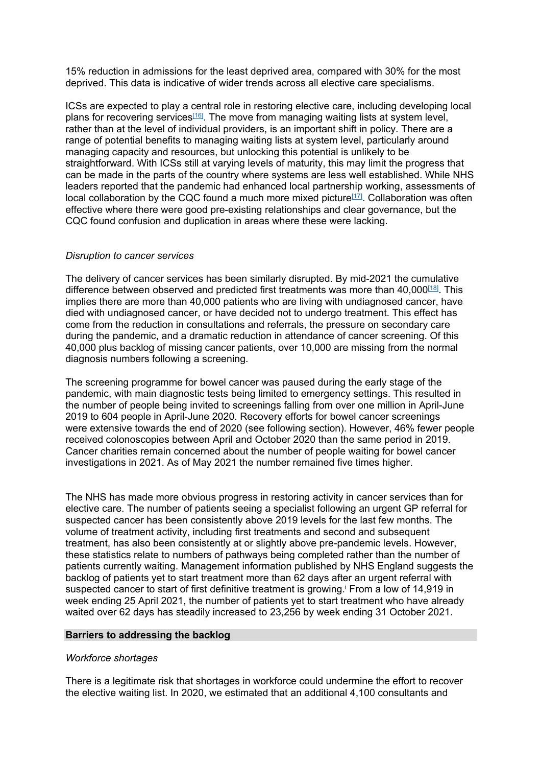15% reduction in admissions for the least deprived area, compared with 30% for the most deprived. This data is indicative of wider trends across all elective care specialisms.

ICSs are expected to play a central role in restoring elective care, including developing local plans for recovering services<sup>[\[16\]](https://ukc-word-edit.officeapps.live.com/we/wordeditorframe.aspx?new=1&ui=en-GB&rs=en-US&wopisrc=https%3A%2F%2Fthehealthfoundation98-my.sharepoint.com%2Fpersonal%2Fsam_mandi-ghomi_health_org_uk%2F_vti_bin%2Fwopi.ashx%2Ffiles%2Fa984bf24854c457bbd82150b4fae31ca&wdprevioussession=3b2e1324-ef1c-5b0f-c0ac-2fa9b4a2076d&wdnewandopenct=1639048230244&wdo=4&wdorigin=wacFileNew&wdtpl=blank&wdlcid=1033&wdpreviouscorrelation=c8371633-2a09-4970-bc97-293bb57c53f7&wdenableroaming=1&mscc=1&wdodb=1&hid=01110BA0-C0CB-C000-9E90-46E1152CC461&jsapi=1&jsapiver=v1&newsession=1&corrid=387bb545-35b2-4d15-b918-646e9379213d&usid=387bb545-35b2-4d15-b918-646e9379213d&sftc=1&mtf=1&sfp=1&wdredirectionreason=Unified_SingleFlush&rct=Medium&ctp=LeastProtected#_ftn16)</sup>. The move from managing waiting lists at system level, rather than at the level of individual providers, is an important shift in policy. There are a range of potential benefits to managing waiting lists at system level, particularly around managing capacity and resources, but unlocking this potential is unlikely to be straightforward. With ICSs still at varying levels of maturity, this may limit the progress that can be made in the parts of the country where systems are less well established. While NHS leaders reported that the pandemic had enhanced local partnership working, assessments of local collaboration by the CQC found a much more mixed picture<sup>[\[17\]](https://ukc-word-edit.officeapps.live.com/we/wordeditorframe.aspx?new=1&ui=en-GB&rs=en-US&wopisrc=https%3A%2F%2Fthehealthfoundation98-my.sharepoint.com%2Fpersonal%2Fsam_mandi-ghomi_health_org_uk%2F_vti_bin%2Fwopi.ashx%2Ffiles%2Fa984bf24854c457bbd82150b4fae31ca&wdprevioussession=3b2e1324-ef1c-5b0f-c0ac-2fa9b4a2076d&wdnewandopenct=1639048230244&wdo=4&wdorigin=wacFileNew&wdtpl=blank&wdlcid=1033&wdpreviouscorrelation=c8371633-2a09-4970-bc97-293bb57c53f7&wdenableroaming=1&mscc=1&wdodb=1&hid=01110BA0-C0CB-C000-9E90-46E1152CC461&jsapi=1&jsapiver=v1&newsession=1&corrid=387bb545-35b2-4d15-b918-646e9379213d&usid=387bb545-35b2-4d15-b918-646e9379213d&sftc=1&mtf=1&sfp=1&wdredirectionreason=Unified_SingleFlush&rct=Medium&ctp=LeastProtected#_ftn17)</sup>. Collaboration was often effective where there were good pre-existing relationships and clear governance, but the CQC found confusion and duplication in areas where these were lacking.

# *Disruption to cancer services*

The delivery of cancer services has been similarly disrupted. By mid-2021 the cumulative difference between observed and predicted first treatments was more than 40,000<sup>[\[18\]](https://ukc-word-edit.officeapps.live.com/we/wordeditorframe.aspx?new=1&ui=en-GB&rs=en-US&wopisrc=https%3A%2F%2Fthehealthfoundation98-my.sharepoint.com%2Fpersonal%2Fsam_mandi-ghomi_health_org_uk%2F_vti_bin%2Fwopi.ashx%2Ffiles%2Fa984bf24854c457bbd82150b4fae31ca&wdprevioussession=3b2e1324-ef1c-5b0f-c0ac-2fa9b4a2076d&wdnewandopenct=1639048230244&wdo=4&wdorigin=wacFileNew&wdtpl=blank&wdlcid=1033&wdpreviouscorrelation=c8371633-2a09-4970-bc97-293bb57c53f7&wdenableroaming=1&mscc=1&wdodb=1&hid=01110BA0-C0CB-C000-9E90-46E1152CC461&jsapi=1&jsapiver=v1&newsession=1&corrid=387bb545-35b2-4d15-b918-646e9379213d&usid=387bb545-35b2-4d15-b918-646e9379213d&sftc=1&mtf=1&sfp=1&wdredirectionreason=Unified_SingleFlush&rct=Medium&ctp=LeastProtected#_ftn18)</sup>. This implies there are more than 40,000 patients who are living with undiagnosed cancer, have died with undiagnosed cancer, or have decided not to undergo treatment. This effect has come from the reduction in consultations and referrals, the pressure on secondary care during the pandemic, and a dramatic reduction in attendance of cancer screening. Of this 40,000 plus backlog of missing cancer patients, over 10,000 are missing from the normal diagnosis numbers following a screening.

The screening programme for bowel cancer was paused during the early stage of the pandemic, with main diagnostic tests being limited to emergency settings. This resulted in the number of people being invited to screenings falling from over one million in April-June 2019 to 604 people in April-June 2020. Recovery efforts for bowel cancer screenings were extensive towards the end of 2020 (see following section). However, 46% fewer people received colonoscopies between April and October 2020 than the same period in 2019. Cancer charities remain concerned about the number of people waiting for bowel cancer investigations in 2021. As of May 2021 the number remained five times higher.

The NHS has made more obvious progress in restoring activity in cancer services than for elective care. The number of patients seeing a specialist following an urgent GP referral for suspected cancer has been consistently above 2019 levels for the last few months. The volume of treatment activity, including first treatments and second and subsequent treatment, has also been consistently at or slightly above pre-pandemic levels. However, these statistics relate to numbers of pathways being completed rather than the number of patients currently waiting. Management information published by NHS England suggests the backlog of patients yet to start treatment more than 62 days after an urgent referral with suspected cancer to start of first definitive treatment is growing.<sup>*i*</sup> From a low of 14,919 in week ending 25 April 2021, the number of patients yet to start treatment who have already waited over 62 days has steadily increased to 23,256 by week ending 31 October 2021.

#### **Barriers to addressing the backlog**

#### *Workforce shortages*

There is a legitimate risk that shortages in workforce could undermine the effort to recover the elective waiting list. In 2020, we estimated that an additional 4,100 consultants and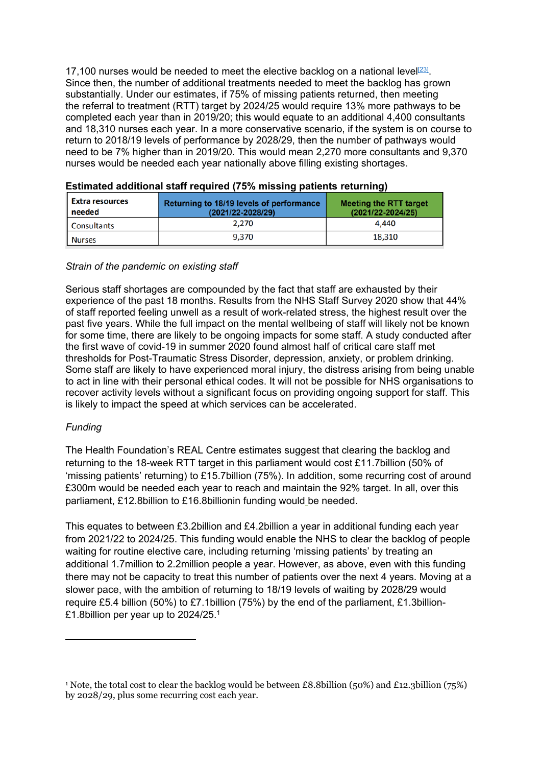17,100 nurses would be needed to meet the elective backlog on a national level<sup>[\[23\]](https://ukc-word-edit.officeapps.live.com/we/wordeditorframe.aspx?new=1&ui=en-GB&rs=en-US&wopisrc=https%3A%2F%2Fthehealthfoundation98-my.sharepoint.com%2Fpersonal%2Fsam_mandi-ghomi_health_org_uk%2F_vti_bin%2Fwopi.ashx%2Ffiles%2Fa984bf24854c457bbd82150b4fae31ca&wdprevioussession=3b2e1324-ef1c-5b0f-c0ac-2fa9b4a2076d&wdnewandopenct=1639048230244&wdo=4&wdorigin=wacFileNew&wdtpl=blank&wdlcid=1033&wdpreviouscorrelation=c8371633-2a09-4970-bc97-293bb57c53f7&wdenableroaming=1&mscc=1&wdodb=1&hid=01110BA0-C0CB-C000-9E90-46E1152CC461&jsapi=1&jsapiver=v1&newsession=1&corrid=387bb545-35b2-4d15-b918-646e9379213d&usid=387bb545-35b2-4d15-b918-646e9379213d&sftc=1&mtf=1&sfp=1&wdredirectionreason=Unified_SingleFlush&rct=Medium&ctp=LeastProtected#_ftn23)</sup>. Since then, the number of additional treatments needed to meet the backlog has grown substantially. Under our estimates, if 75% of missing patients returned, then meeting the referral to treatment (RTT) target by 2024/25 would require 13% more pathways to be completed each year than in 2019/20; this would equate to an additional 4,400 consultants and 18,310 nurses each year. In a more conservative scenario, if the system is on course to return to 2018/19 levels of performance by 2028/29, then the number of pathways would need to be 7% higher than in 2019/20. This would mean 2,270 more consultants and 9,370 nurses would be needed each year nationally above filling existing shortages.

| <b>Extra resources</b><br>needed | Returning to 18/19 levels of performance<br>(2021/22-2028/29) | <b>Meeting the RTT target</b><br>$(2021/22 - 2024/25)$ |
|----------------------------------|---------------------------------------------------------------|--------------------------------------------------------|
| Consultants                      | 2.270                                                         | 4.440                                                  |
| <b>Nurses</b>                    | 9.370                                                         | 18,310                                                 |

| Estimated additional staff required (75% missing patients returning) |  |  |
|----------------------------------------------------------------------|--|--|
|                                                                      |  |  |

#### *Strain of the pandemic on existing staff*

Serious staff shortages are compounded by the fact that [staff](https://blogs.bmj.com/bmj/2021/03/23/will-warbuton-translating-praise-for-the-nhs-into-practical-support-for-recovery/) [are](https://blogs.bmj.com/bmj/2021/03/23/will-warbuton-translating-praise-for-the-nhs-into-practical-support-for-recovery/) [exhausted](https://blogs.bmj.com/bmj/2021/03/23/will-warbuton-translating-praise-for-the-nhs-into-practical-support-for-recovery/) [by](https://blogs.bmj.com/bmj/2021/03/23/will-warbuton-translating-praise-for-the-nhs-into-practical-support-for-recovery/) [their](https://blogs.bmj.com/bmj/2021/03/23/will-warbuton-translating-praise-for-the-nhs-into-practical-support-for-recovery/) [experience](https://blogs.bmj.com/bmj/2021/03/23/will-warbuton-translating-praise-for-the-nhs-into-practical-support-for-recovery/) [of](https://blogs.bmj.com/bmj/2021/03/23/will-warbuton-translating-praise-for-the-nhs-into-practical-support-for-recovery/) [the](https://blogs.bmj.com/bmj/2021/03/23/will-warbuton-translating-praise-for-the-nhs-into-practical-support-for-recovery/) [past](https://blogs.bmj.com/bmj/2021/03/23/will-warbuton-translating-praise-for-the-nhs-into-practical-support-for-recovery/) [18](https://blogs.bmj.com/bmj/2021/03/23/will-warbuton-translating-praise-for-the-nhs-into-practical-support-for-recovery/) [months.](https://blogs.bmj.com/bmj/2021/03/23/will-warbuton-translating-praise-for-the-nhs-into-practical-support-for-recovery/) Results from the NHS Staff Survey 2020 show that 44% of staff reported feeling unwell as a result of work-related stress, the highest result over the past five years. While the full impact on the mental wellbeing of staff will likely not be known for some time, there are likely to be ongoing impacts for some staff. A [study](https://academic.oup.com/occmed/advance-article/doi/10.1093/occmed/kqaa220/6072139) conducted after the first wave of covid-19 in summer 2020 found almost half of critical care staff met thresholds for Post-Traumatic Stress Disorder, depression, anxiety, or problem drinking. Some staff are likely to have experienced [moral](https://www.bmj.com/content/368/bmj.m1211) [injury,](https://www.bmj.com/content/368/bmj.m1211) the distress arising from being unable to act in line with their personal ethical codes. It will not be possible for NHS organisations to recover activity levels without a significant focus on providing ongoing support for staff. This is likely to impact the speed at which services can be accelerated.

# *Funding*

The Health Foundation's REAL Centre estimates suggest that clearing the backlog and returning to the 18-week RTT target in this parliament would cost £11.7billion (50% of 'missing patients' returning) to £15.7billion (75%). In addition, some recurring cost of around £300m would be needed each year to reach and maintain the 92% target. In all, over this parliament, £12.8billion to £16.8billionin funding would be needed.

This equates to between £3.2billion and £4.2billion a year in additional funding each year from 2021/22 to 2024/25. This funding would enable the NHS to clear the backlog of people waiting for routine elective care, including returning 'missing patients' by treating an additional 1.7million to 2.2million people a year. However, as above, even with this funding there may not be capacity to treat this number of patients over the next 4 years. Moving at a slower pace, with the ambition of returning to 18/19 levels of waiting by 2028/29 would require £5.4 billion (50%) to £7.1billion (75%) by the end of the parliament, £1.3billion- £1.8billion per year up to 2024/25.<sup>1</sup>

<sup>1</sup> Note, the total cost to clear the backlog would be between £8.8billion (50%) and £12.3billion (75%) by 2028/29, plus some recurring cost each year.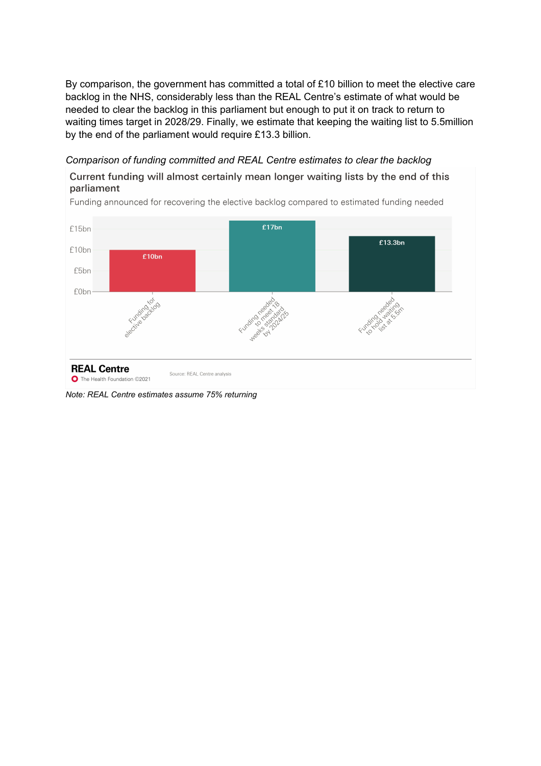By comparison, the government has committed a total of £10 billion to meet the elective care backlog in the NHS, considerably less than the REAL Centre's estimate of what would be needed to clear the backlog in this parliament but enough to put it on track to return to waiting times target in 2028/29. Finally, we estimate that keeping the waiting list to 5.5million by the end of the parliament would require £13.3 billion.

# *Comparison of funding committed and REAL Centre estimates to clear the backlog*

# Current funding will almost certainly mean longer waiting lists by the end of this parliament



Funding announced for recovering the elective backlog compared to estimated funding needed

*Note: REAL Centre estimates assume 75% returning*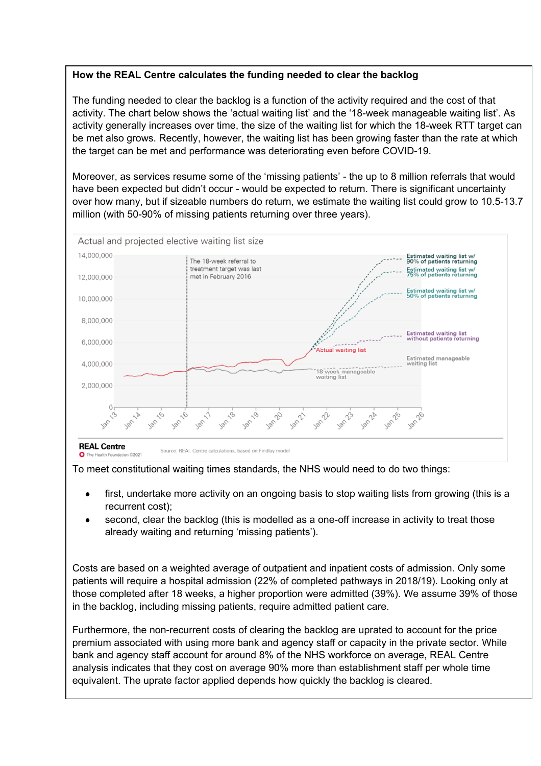# **How the REAL Centre calculates the funding needed to clear the backlog**

The funding needed to clear the backlog is a function of the activity required and the cost of that activity. The chart below shows the 'actual waiting list' and the '18-week manageable waiting list'. As activity generally increases over time, the size of the waiting list for which the 18-week RTT target can be met also grows. Recently, however, the waiting list has been growing faster than the rate at which the target can be met and performance was deteriorating even before COVID-19.

Moreover, as services resume some of the 'missing patients' - the up to 8 million referrals that would have been expected but didn't occur - would be expected to return. There is significant uncertainty over how many, but if sizeable numbers do return, we estimate the waiting list could grow to 10.5-13.7 million (with 50-90% of missing patients returning over three years).



To meet constitutional waiting times standards, the NHS would need to do two things:

- first, undertake more activity on an ongoing basis to stop waiting lists from growing (this is a recurrent cost);
- second, clear the backlog (this is modelled as a one-off increase in activity to treat those already waiting and returning 'missing patients').

Costs are based on a weighted average of outpatient and inpatient costs of admission. Only some patients will require a hospital admission (22% of completed pathways in 2018/19). Looking only at those completed after 18 weeks, a higher proportion were admitted (39%). We assume 39% of those in the backlog, including missing patients, require admitted patient care.

Furthermore, the non-recurrent costs of clearing the backlog are uprated to account for the price premium associated with using more bank and agency staff or capacity in the private sector. While bank and agency staff account for around 8% of the NHS workforce on average, REAL Centre analysis indicates that they cost on average 90% more than establishment staff per whole time equivalent. The uprate factor applied depends how quickly the backlog is cleared.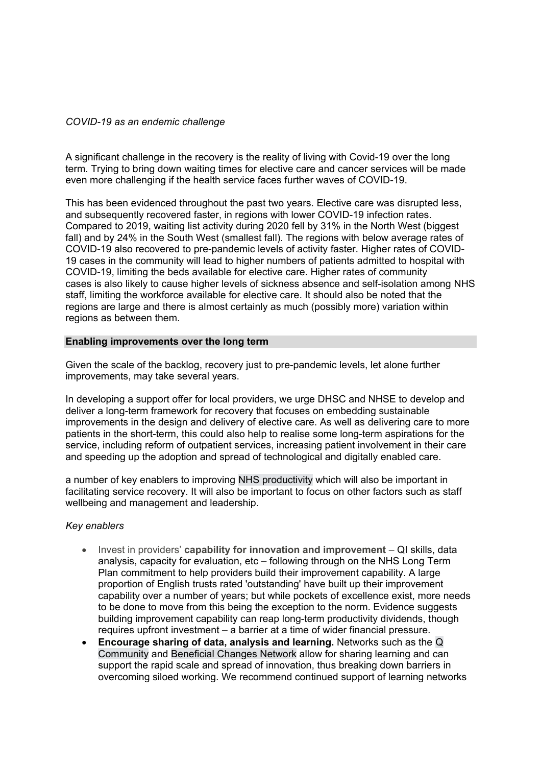# *COVID-19 as an endemic challenge*

A significant challenge in the recovery is the reality of living with Covid-19 over the long term. Trying to bring down waiting times for elective care and cancer services will be made even more challenging if the health service faces further waves of COVID-19.

This has been evidenced throughout the past two years. Elective care was disrupted less, and subsequently recovered faster, in regions with lower COVID-19 infection rates. Compared to 2019, waiting list activity during 2020 fell by 31% in the North West (biggest fall) and by 24% in the South West (smallest fall). The regions with below average rates of COVID-19 also recovered to pre-pandemic levels of activity faster. Higher rates of COVID-19 cases in the community will lead to higher numbers of patients admitted to hospital with COVID-19, limiting the beds available for elective care. Higher rates of community cases is also likely to cause higher levels of sickness absence and self-isolation among NHS staff, limiting the workforce available for elective care. It should also be noted that the regions are large and there is almost certainly as much (possibly more) variation within regions as between them.

# **Enabling improvements over the long term**

Given the scale of the backlog, recovery just to pre-pandemic levels, let alone further improvements, may take several years.

In developing a support offer for local providers, we urge DHSC and NHSE to develop and deliver a long-term framework for recovery that focuses on embedding sustainable improvements in the design and delivery of elective care. As well as delivering care to more patients in the short-term, this could also help to realise some long-term aspirations for the service, including reform of outpatient services, increasing patient involvement in their care and speeding up the adoption and spread of technological and digitally enabled care.

a number of key enablers to improving [NHS](https://www.health.org.uk/publications/long-reads/agility-the-missing-ingredient-for-nhs-productivity) [productivity](https://www.health.org.uk/publications/long-reads/agility-the-missing-ingredient-for-nhs-productivity) which will also be important in facilitating service recovery. It will also be important to focus on other factors such as staff wellbeing and management and leadership.

#### *Key enablers*

- Invest in providers' **capability for innovation and improvement** QI skills, da[ta](https://www.longtermplan.nhs.uk/%22%20/t%20%22_blank) analysis, capacity for evaluation, etc – following through on the [NHS](https://www.longtermplan.nhs.uk/%22%20/t%20%22_blank) [Long](https://www.longtermplan.nhs.uk/%22%20/t%20%22_blank) [Term](https://www.longtermplan.nhs.uk/%22%20/t%20%22_blank) [Plan](https://www.longtermplan.nhs.uk/%22%20/t%20%22_blank) commitment to help providers build their improvement capability. A large proportion of English trusts rated 'outstanding' have built up their improvement capability over a number of years; but while pockets of excellence exist, more needs to be done to move from this being the exception to the norm. [Evidence](http://evidence/) suggests building improvement capability can reap long-term productivity dividends, though requires upfront investment – a barrier at a time of wider financial pressure.
- **Encourage sharing of data, analysis and learning.** Networks such as the [Q](https://q.health.org.uk/) [Community](https://q.health.org.uk/) and [Beneficial](https://www.england.nhs.uk/beneficial-changes-network/) [Changes](https://www.england.nhs.uk/beneficial-changes-network/) [Network](https://www.england.nhs.uk/beneficial-changes-network/) allow for sharing learning and can support the rapid scale and spread of innovation, thus breaking down barriers in overcoming siloed working. We recommend continued support of learning networks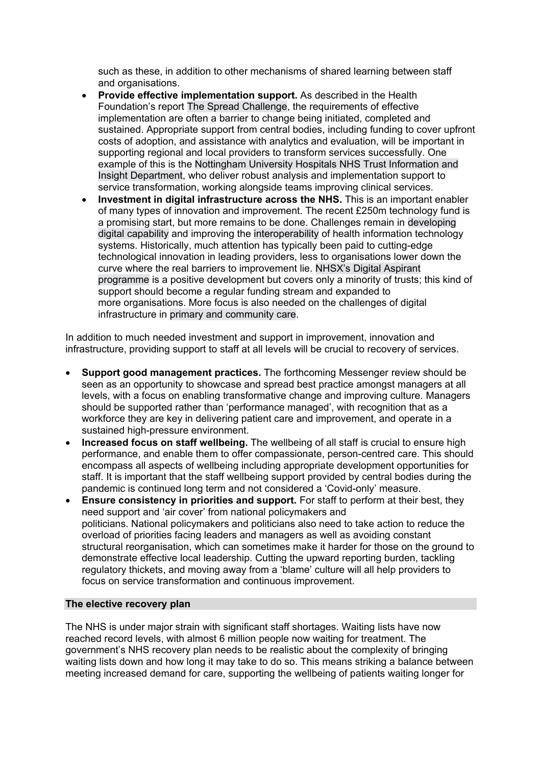such as these, in addition to other mechanisms of shared learning between staff and organisations.

- **Provide effective implementation support.** As described in the Health Foundation's report [The](https://reader.health.org.uk/the-spread-challenge) [Spread](https://reader.health.org.uk/the-spread-challenge) [Challenge,](https://reader.health.org.uk/the-spread-challenge) the requirements of effective implementation are often a barrier to change being initiated, completed and sustained. Appropriate support from central bodies, including funding to cover upfront costs of adoption, and assistance with analytics and evaluation, will be important in supporting regional and local providers to transform services successfully. One example of this is the [Nottingham](https://s20056.pcdn.co/wp-content/uploads/2021/11/4.-Embedding-organisational-analytical-capability.pdf) [University](https://s20056.pcdn.co/wp-content/uploads/2021/11/4.-Embedding-organisational-analytical-capability.pdf) [Hospitals](https://s20056.pcdn.co/wp-content/uploads/2021/11/4.-Embedding-organisational-analytical-capability.pdf) [NHS](https://s20056.pcdn.co/wp-content/uploads/2021/11/4.-Embedding-organisational-analytical-capability.pdf) [Trust](https://s20056.pcdn.co/wp-content/uploads/2021/11/4.-Embedding-organisational-analytical-capability.pdf) [Information](https://s20056.pcdn.co/wp-content/uploads/2021/11/4.-Embedding-organisational-analytical-capability.pdf) [and](https://s20056.pcdn.co/wp-content/uploads/2021/11/4.-Embedding-organisational-analytical-capability.pdf) [Insight](https://s20056.pcdn.co/wp-content/uploads/2021/11/4.-Embedding-organisational-analytical-capability.pdf) [Department,](https://s20056.pcdn.co/wp-content/uploads/2021/11/4.-Embedding-organisational-analytical-capability.pdf) who deliver robust analysis and implementation support to service transformation, working alongside teams improving clinical services.
- **Investment in digital infrastructure across the NHS.** This is an important enabler of many types of innovation and improvement. The recent £250m technology fund is a promising start, but more remains to be done. Challenges remain in [developing](https://www.thelancet.com/journals/landig/article/PIIS2589-7500(21)00005-4/fulltext) [digital](https://www.thelancet.com/journals/landig/article/PIIS2589-7500(21)00005-4/fulltext) [capability](https://www.thelancet.com/journals/landig/article/PIIS2589-7500(21)00005-4/fulltext) and improving the [interoperability](https://pubmed.ncbi.nlm.nih.gov/31806611/) of health information technology systems. Historically, much attention has typically been paid to cutting-edge technological innovation in leading providers, less to organisations lower down the curve where the real barriers to improvement lie. [NHSX's](https://www.nhsx.nhs.uk/key-tools-and-info/digital-aspirants/) [Digital](https://www.nhsx.nhs.uk/key-tools-and-info/digital-aspirants/) [Aspirant](https://www.nhsx.nhs.uk/key-tools-and-info/digital-aspirants/) [programme](https://www.nhsx.nhs.uk/key-tools-and-info/digital-aspirants/) is a positive development but covers only a minority of trusts; this kind of support should become a regular funding stream and expanded to more organisations. More focus is also needed on the challenges of digital infrastructure in [primary](https://www.nao.org.uk/wp-content/uploads/2019/05/Digital-transformation-in-the-NHS.pdf) [and](https://www.nao.org.uk/wp-content/uploads/2019/05/Digital-transformation-in-the-NHS.pdf) [community](https://www.nao.org.uk/wp-content/uploads/2019/05/Digital-transformation-in-the-NHS.pdf) [care.](https://www.nao.org.uk/wp-content/uploads/2019/05/Digital-transformation-in-the-NHS.pdf)

In addition to much needed investment and support in improvement, innovation and infrastructure, providing support to staff at all levels will be crucial to recovery of services.

- **Support good management practices.** The forthcoming Messenger review should be seen as an opportunity to showcase and spread best practice amongst managers at all levels, with a focus on enabling transformative change and improving culture. Managers should be supported rather than 'performance managed', with recognition that as a workforce they are key in delivering patient care and improvement, and operate in a sustained high-pressure environment.
- **Increased focus on staff wellbeing.** The wellbeing of all staff is crucial to ensure high performance, and enable them to offer compassionate, person-centred care. This should encompass all aspects of wellbeing including appropriate development opportunities for staff. It is important that the staff wellbeing support provided by central bodies during the pandemic is continued long term and not considered a 'Covid-only' measure.
- **Ensure consistency in priorities and support.** For staff to perform at their best, they need support and 'air cover' from national policymakers and politicians. National policymakers and politicians also need to take action to reduce the overload of priorities facing leaders and managers as well as avoiding constant structural reorganisation, which can sometimes make it harder for those on the ground to demonstrate effective local leadership. Cutting the upward reporting burden, tackling regulatory thickets, and moving away from a 'blame' culture will all help providers to focus on service transformation and continuous improvement.

#### **The elective recovery plan**

The NHS is under major strain with significant staff shortages. Waiting lists have now reached record levels, with almost 6 million people now waiting for treatment. The government's NHS recovery plan needs to be realistic about the complexity of bringing waiting lists down and how long it may take to do so. This means striking a balance between meeting increased demand for care, supporting the wellbeing of patients waiting longer for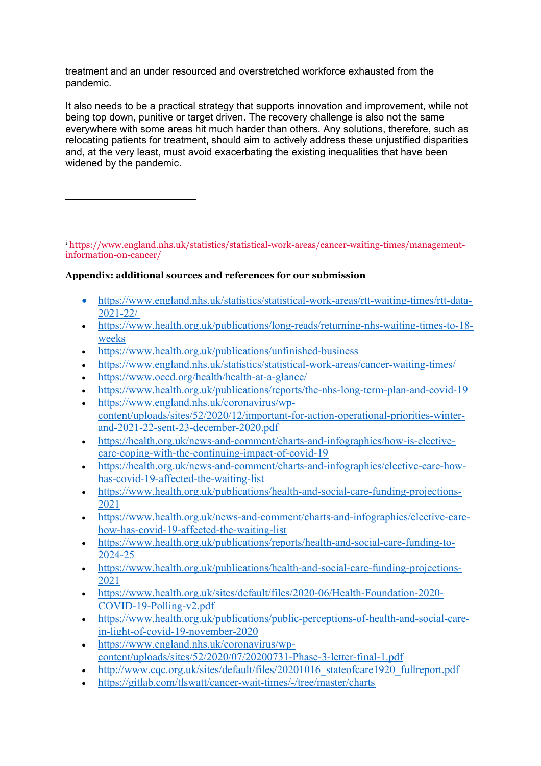treatment and an under resourced and overstretched workforce exhausted from the pandemic.

It also needs to be a practical strategy that supports innovation and improvement, while not being top down, punitive or target driven. The recovery challenge is also not the same everywhere with some areas hit much harder than others. Any solutions, therefore, such as relocating patients for treatment, should aim to actively address these unjustified disparities and, at the very least, must avoid exacerbating the existing inequalities that have been widened by the pandemic.

<sup>i</sup> [https://www.england.nhs.uk/statistics/statistical-work-areas/cancer-waiting-times/management](https://www.england.nhs.uk/statistics/statistical-work-areas/cancer-waiting-times/management-information-on-cancer/)[information-on-cancer/](https://www.england.nhs.uk/statistics/statistical-work-areas/cancer-waiting-times/management-information-on-cancer/)

# **Appendix: additional sources and references for our submission**

- [https://www.england.nhs.uk/statistics/statistical-work-areas/rtt-waiting-times/rtt-data-](https://www.england.nhs.uk/statistics/statistical-work-areas/rtt-waiting-times/rtt-data-2021-22/)[2021-22/](https://www.england.nhs.uk/statistics/statistical-work-areas/rtt-waiting-times/rtt-data-2021-22/)
- [https://www.health.org.uk/publications/long-reads/returning-nhs-waiting-times-to-18](https://www.health.org.uk/publications/long-reads/returning-nhs-waiting-times-to-18-weeks) [weeks](https://www.health.org.uk/publications/long-reads/returning-nhs-waiting-times-to-18-weeks)
- <https://www.health.org.uk/publications/unfinished-business>
- <https://www.england.nhs.uk/statistics/statistical-work-areas/cancer-waiting-times/>
- <https://www.oecd.org/health/health-at-a-glance/>
- <https://www.health.org.uk/publications/reports/the-nhs-long-term-plan-and-covid-19>
- [https://www.england.nhs.uk/coronavirus/wp](https://www.england.nhs.uk/coronavirus/wp-content/uploads/sites/52/2020/12/important-for-action-operational-priorities-winter-and-2021-22-sent-23-december-2020.pdf)[content/uploads/sites/52/2020/12/important-for-action-operational-priorities-winter](https://www.england.nhs.uk/coronavirus/wp-content/uploads/sites/52/2020/12/important-for-action-operational-priorities-winter-and-2021-22-sent-23-december-2020.pdf)[and-2021-22-sent-23-december-2020.pdf](https://www.england.nhs.uk/coronavirus/wp-content/uploads/sites/52/2020/12/important-for-action-operational-priorities-winter-and-2021-22-sent-23-december-2020.pdf)
- [https://health.org.uk/news-and-comment/charts-and-infographics/how-is-elective](https://health.org.uk/news-and-comment/charts-and-infographics/how-is-elective-care-coping-with-the-continuing-impact-of-covid-19)[care-coping-with-the-continuing-impact-of-covid-19](https://health.org.uk/news-and-comment/charts-and-infographics/how-is-elective-care-coping-with-the-continuing-impact-of-covid-19)
- [https://health.org.uk/news-and-comment/charts-and-infographics/elective-care-how](https://health.org.uk/news-and-comment/charts-and-infographics/elective-care-how-has-covid-19-affected-the-waiting-list)[has-covid-19-affected-the-waiting-list](https://health.org.uk/news-and-comment/charts-and-infographics/elective-care-how-has-covid-19-affected-the-waiting-list)
- [https://www.health.org.uk/publications/health-and-social-care-funding-projections-](https://www.health.org.uk/publications/health-and-social-care-funding-projections-2021)[2021](https://www.health.org.uk/publications/health-and-social-care-funding-projections-2021)
- [https://www.health.org.uk/news-and-comment/charts-and-infographics/elective-care](https://www.health.org.uk/news-and-comment/charts-and-infographics/elective-care-how-has-covid-19-affected-the-waiting-list)[how-has-covid-19-affected-the-waiting-list](https://www.health.org.uk/news-and-comment/charts-and-infographics/elective-care-how-has-covid-19-affected-the-waiting-list)
- [https://www.health.org.uk/publications/reports/health-and-social-care-funding-to-](https://www.health.org.uk/publications/reports/health-and-social-care-funding-to-2024-25)[2024-25](https://www.health.org.uk/publications/reports/health-and-social-care-funding-to-2024-25)
- [https://www.health.org.uk/publications/health-and-social-care-funding-projections-](https://www.health.org.uk/publications/health-and-social-care-funding-projections-2021)[2021](https://www.health.org.uk/publications/health-and-social-care-funding-projections-2021)
- [https://www.health.org.uk/sites/default/files/2020-06/Health-Foundation-2020-](https://www.health.org.uk/sites/default/files/2020-06/Health-Foundation-2020-COVID-19-Polling-v2.pdf) [COVID-19-Polling-v2.pdf](https://www.health.org.uk/sites/default/files/2020-06/Health-Foundation-2020-COVID-19-Polling-v2.pdf)
- [https://www.health.org.uk/publications/public-perceptions-of-health-and-social-care](https://www.health.org.uk/publications/public-perceptions-of-health-and-social-care-in-light-of-covid-19-november-2020)[in-light-of-covid-19-november-2020](https://www.health.org.uk/publications/public-perceptions-of-health-and-social-care-in-light-of-covid-19-november-2020)
- [https://www.england.nhs.uk/coronavirus/wp](https://www.england.nhs.uk/coronavirus/wp-content/uploads/sites/52/2020/07/20200731-Phase-3-letter-final-1.pdf)[content/uploads/sites/52/2020/07/20200731-Phase-3-letter-final-1.pdf](https://www.england.nhs.uk/coronavirus/wp-content/uploads/sites/52/2020/07/20200731-Phase-3-letter-final-1.pdf)
- [http://www.cqc.org.uk/sites/default/files/20201016\\_stateofcare1920\\_fullreport.pdf](http://www.cqc.org.uk/sites/default/files/20201016_stateofcare1920_fullreport.pdf)
- <https://gitlab.com/tlswatt/cancer-wait-times/-/tree/master/charts>